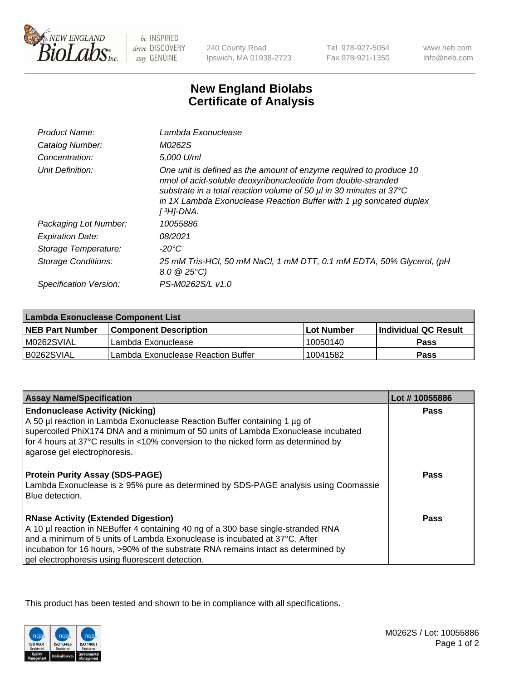

 $be$  INSPIRED drive DISCOVERY stay GENUINE

240 County Road Ipswich, MA 01938-2723

Tel 978-927-5054 Fax 978-921-1350 www.neb.com info@neb.com

## **New England Biolabs Certificate of Analysis**

| Product Name:           | Lambda Exonuclease                                                                                                                                                                                                                                                                                   |
|-------------------------|------------------------------------------------------------------------------------------------------------------------------------------------------------------------------------------------------------------------------------------------------------------------------------------------------|
| Catalog Number:         | M0262S                                                                                                                                                                                                                                                                                               |
| Concentration:          | 5,000 U/ml                                                                                                                                                                                                                                                                                           |
| Unit Definition:        | One unit is defined as the amount of enzyme required to produce 10<br>nmol of acid-soluble deoxyribonucleotide from double-stranded<br>substrate in a total reaction volume of 50 µl in 30 minutes at 37°C<br>in 1X Lambda Exonuclease Reaction Buffer with 1 $\mu$ g sonicated duplex<br>[ 3H]-DNA. |
| Packaging Lot Number:   | 10055886                                                                                                                                                                                                                                                                                             |
| <b>Expiration Date:</b> | 08/2021                                                                                                                                                                                                                                                                                              |
| Storage Temperature:    | $-20^{\circ}$ C                                                                                                                                                                                                                                                                                      |
| Storage Conditions:     | 25 mM Tris-HCl, 50 mM NaCl, 1 mM DTT, 0.1 mM EDTA, 50% Glycerol, (pH<br>$8.0 \ @ 25^{\circ}C$                                                                                                                                                                                                        |
| Specification Version:  | PS-M0262S/L v1.0                                                                                                                                                                                                                                                                                     |
|                         |                                                                                                                                                                                                                                                                                                      |

| Lambda Exonuclease Component List |                                    |             |                             |  |
|-----------------------------------|------------------------------------|-------------|-----------------------------|--|
| <b>NEB Part Number</b>            | l Component Description            | ⊺Lot Number | <b>Individual QC Result</b> |  |
| IM0262SVIAL                       | Lambda Exonuclease                 | 10050140    | <b>Pass</b>                 |  |
| IB0262SVIAL                       | Lambda Exonuclease Reaction Buffer | 10041582    | Pass                        |  |

| <b>Assay Name/Specification</b>                                                     | Lot #10055886 |
|-------------------------------------------------------------------------------------|---------------|
| <b>Endonuclease Activity (Nicking)</b>                                              | <b>Pass</b>   |
| A 50 µl reaction in Lambda Exonuclease Reaction Buffer containing 1 µg of           |               |
| supercoiled PhiX174 DNA and a minimum of 50 units of Lambda Exonuclease incubated   |               |
| for 4 hours at 37°C results in <10% conversion to the nicked form as determined by  |               |
| agarose gel electrophoresis.                                                        |               |
| <b>Protein Purity Assay (SDS-PAGE)</b>                                              | Pass          |
| Lambda Exonuclease is ≥ 95% pure as determined by SDS-PAGE analysis using Coomassie |               |
| Blue detection.                                                                     |               |
|                                                                                     |               |
| <b>RNase Activity (Extended Digestion)</b>                                          | Pass          |
| A 10 µl reaction in NEBuffer 4 containing 40 ng of a 300 base single-stranded RNA   |               |
| and a minimum of 5 units of Lambda Exonuclease is incubated at 37°C. After          |               |
| incubation for 16 hours, >90% of the substrate RNA remains intact as determined by  |               |
| gel electrophoresis using fluorescent detection.                                    |               |

This product has been tested and shown to be in compliance with all specifications.